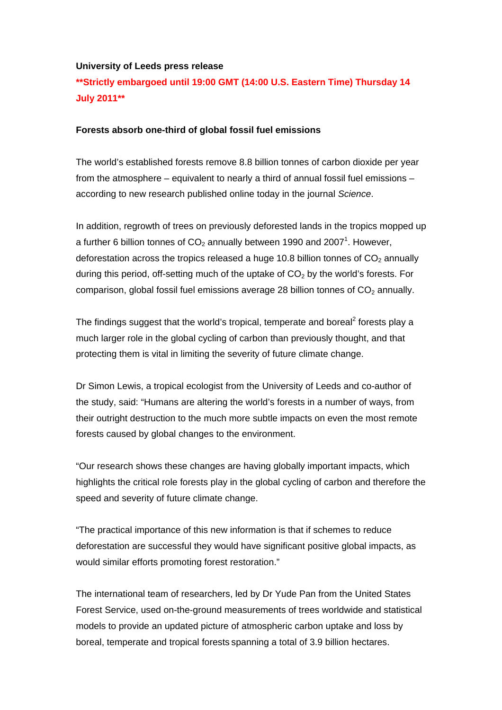## **University of Leeds press release**

**\*\*Strictly embargoed until 19:00 GMT (14:00 U.S. Eastern Time) Thursday 14 July 2011\*\*** 

## **Forests absorb one-third of global fossil fuel emissions**

The world's established forests remove 8.8 billion tonnes of carbon dioxide per year from the atmosphere – equivalent to nearly a third of annual fossil fuel emissions – according to new research published online today in the journal *Science*.

In addition, regrowth of trees on previously deforested lands in the tropics mopped up a further 6 billion tonnes of  $CO<sub>2</sub>$  annually between 1990 and 2007<sup>1</sup>. However, deforestation across the tropics released a huge 10.8 billion tonnes of  $CO<sub>2</sub>$  annually during this period, off-setting much of the uptake of  $CO<sub>2</sub>$  by the world's forests. For comparison, global fossil fuel emissions average 28 billion tonnes of  $CO<sub>2</sub>$  annually.

The findings suggest that the world's tropical, temperate and boreal<sup>2</sup> forests play a much larger role in the global cycling of carbon than previously thought, and that protecting them is vital in limiting the severity of future climate change.

Dr Simon Lewis, a tropical ecologist from the University of Leeds and co-author of the study, said: "Humans are altering the world's forests in a number of ways, from their outright destruction to the much more subtle impacts on even the most remote forests caused by global changes to the environment.

"Our research shows these changes are having globally important impacts, which highlights the critical role forests play in the global cycling of carbon and therefore the speed and severity of future climate change.

"The practical importance of this new information is that if schemes to reduce deforestation are successful they would have significant positive global impacts, as would similar efforts promoting forest restoration."

The international team of researchers, led by Dr Yude Pan from the United States Forest Service, used on-the-ground measurements of trees worldwide and statistical models to provide an updated picture of atmospheric carbon uptake and loss by boreal, temperate and tropical forests spanning a total of 3.9 billion hectares.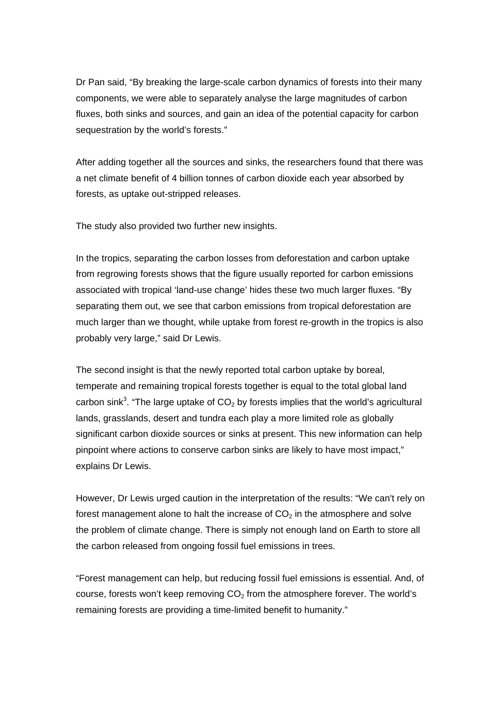Dr Pan said, "By breaking the large-scale carbon dynamics of forests into their many components, we were able to separately analyse the large magnitudes of carbon fluxes, both sinks and sources, and gain an idea of the potential capacity for carbon sequestration by the world's forests."

After adding together all the sources and sinks, the researchers found that there was a net climate benefit of 4 billion tonnes of carbon dioxide each year absorbed by forests, as uptake out-stripped releases.

The study also provided two further new insights.

In the tropics, separating the carbon losses from deforestation and carbon uptake from regrowing forests shows that the figure usually reported for carbon emissions associated with tropical 'land-use change' hides these two much larger fluxes. "By separating them out, we see that carbon emissions from tropical deforestation are much larger than we thought, while uptake from forest re-growth in the tropics is also probably very large," said Dr Lewis.

The second insight is that the newly reported total carbon uptake by boreal, temperate and remaining tropical forests together is equal to the total global land carbon sink<sup>3</sup>. "The large uptake of  $CO<sub>2</sub>$  by forests implies that the world's agricultural lands, grasslands, desert and tundra each play a more limited role as globally significant carbon dioxide sources or sinks at present. This new information can help pinpoint where actions to conserve carbon sinks are likely to have most impact," explains Dr Lewis.

However, Dr Lewis urged caution in the interpretation of the results: "We can't rely on forest management alone to halt the increase of  $CO<sub>2</sub>$  in the atmosphere and solve the problem of climate change. There is simply not enough land on Earth to store all the carbon released from ongoing fossil fuel emissions in trees.

"Forest management can help, but reducing fossil fuel emissions is essential. And, of course, forests won't keep removing  $CO<sub>2</sub>$  from the atmosphere forever. The world's remaining forests are providing a time-limited benefit to humanity."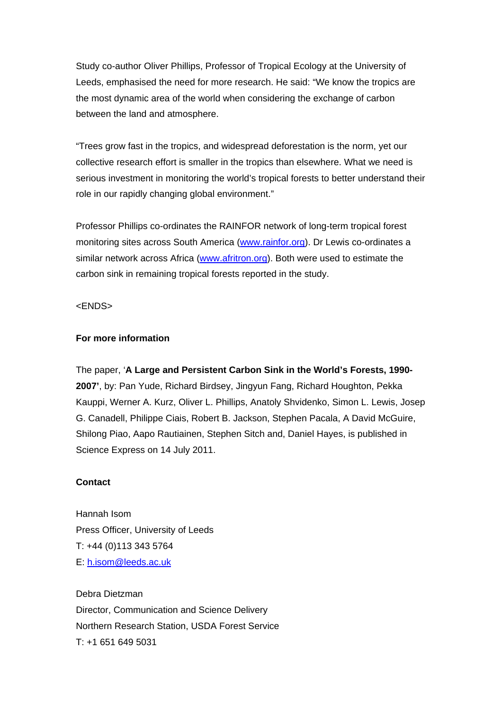Study co-author Oliver Phillips, Professor of Tropical Ecology at the University of Leeds, emphasised the need for more research. He said: "We know the tropics are the most dynamic area of the world when considering the exchange of carbon between the land and atmosphere.

"Trees grow fast in the tropics, and widespread deforestation is the norm, yet our collective research effort is smaller in the tropics than elsewhere. What we need is serious investment in monitoring the world's tropical forests to better understand their role in our rapidly changing global environment."

Professor Phillips co-ordinates the RAINFOR network of long-term tropical forest monitoring sites across South America [\(www.rainfor.org](http://www.rainfor.org/)). Dr Lewis co-ordinates a similar network across Africa ([www.afritron.org\)](http://www.afritron.org/). Both were used to estimate the carbon sink in remaining tropical forests reported in the study.

<ENDS>

## **For more information**

The paper, '**A Large and Persistent Carbon Sink in the World's Forests, 1990- 2007'**, by: Pan Yude, Richard Birdsey, Jingyun Fang, Richard Houghton, Pekka Kauppi, Werner A. Kurz, Oliver L. Phillips, Anatoly Shvidenko, Simon L. Lewis, Josep G. Canadell, Philippe Ciais, Robert B. Jackson, Stephen Pacala, A David McGuire, Shilong Piao, Aapo Rautiainen, Stephen Sitch and, Daniel Hayes, is published in Science Express on 14 July 2011.

## **Contact**

Hannah Isom Press Officer, University of Leeds T: +44 (0)113 343 5764 E: [h.isom@leeds.ac.uk](mailto:h.isom@leeds.ac.uk) 

Debra Dietzman Director, Communication and Science Delivery Northern Research Station, USDA Forest Service T: +1 651 649 5031